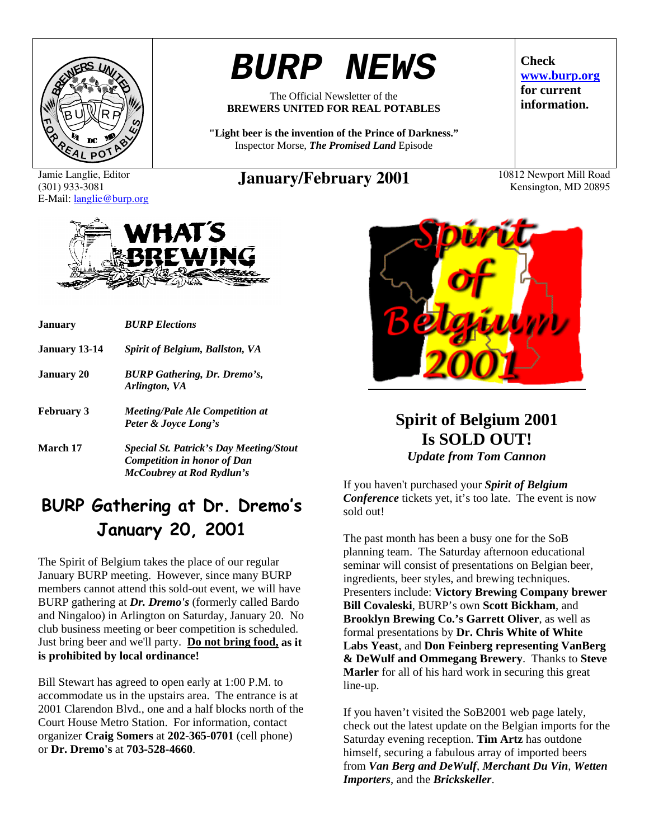

# *BURP NEWS*

The Official Newsletter of the **BREWERS UNITED FOR REAL POTABLES** 

**"Light beer is the invention of the Prince of Darkness."**  Inspector Morse, *The Promised Land* Episode

Jamie Langlie, Editor (301) 933-3081 E-Mail: langlie@burp.org

# **January/February 2001** 10812 Newport Mill Road

**Check www.burp.org for current information.** 

# **January** *BURP Elections*

VHAT S

| <b>January 13-14</b> | <b>Spirit of Belgium, Ballston, VA</b>                         |
|----------------------|----------------------------------------------------------------|
| <b>January 20</b>    | <b>BURP</b> Gathering, Dr. Dremo's,<br>Arlington, VA           |
| <b>February 3</b>    | <b>Meeting/Pale Ale Competition at</b><br>Peter & Joyce Long's |
| March 17             | <b>Special St. Patrick's Day Meeting/Stout</b>                 |

# *Competition in honor of Dan McCoubrey at Rod Rydlun's*

# **BURP Gathering at Dr. Dremo's January 20, 2001**

The Spirit of Belgium takes the place of our regular January BURP meeting. However, since many BURP members cannot attend this sold-out event, we will have BURP gathering at *Dr. Dremo's* (formerly called Bardo and Ningaloo) in Arlington on Saturday, January 20. No club business meeting or beer competition is scheduled. Just bring beer and we'll party. **Do not bring food, as it is prohibited by local ordinance!**

Bill Stewart has agreed to open early at 1:00 P.M. to accommodate us in the upstairs area. The entrance is at 2001 Clarendon Blvd., one and a half blocks north of the Court House Metro Station. For information, contact organizer **Craig Somers** at **202-365-0701** (cell phone) or **Dr. Dremo's** at **703-528-4660**.

# **Spirit of Belgium 2001 Is SOLD OUT!**  *Update from Tom Cannon*

If you haven't purchased your *Spirit of Belgium Conference* tickets yet, it's too late. The event is now sold out!

The past month has been a busy one for the SoB planning team. The Saturday afternoon educational seminar will consist of presentations on Belgian beer, ingredients, beer styles, and brewing techniques. Presenters include: **Victory Brewing Company brewer Bill Covaleski**, BURP's own **Scott Bickham**, and **Brooklyn Brewing Co.'s Garrett Oliver**, as well as formal presentations by **Dr. Chris White of White Labs Yeast**, and **Don Feinberg representing VanBerg & DeWulf and Ommegang Brewery**. Thanks to **Steve Marler** for all of his hard work in securing this great line-up.

If you haven't visited the SoB2001 web page lately, check out the latest update on the Belgian imports for the Saturday evening reception. **Tim Artz** has outdone himself, securing a fabulous array of imported beers from *Van Berg and DeWulf*, *Merchant Du Vin*, *Wetten Importers*, and the *Brickskeller*.

Kensington, MD 20895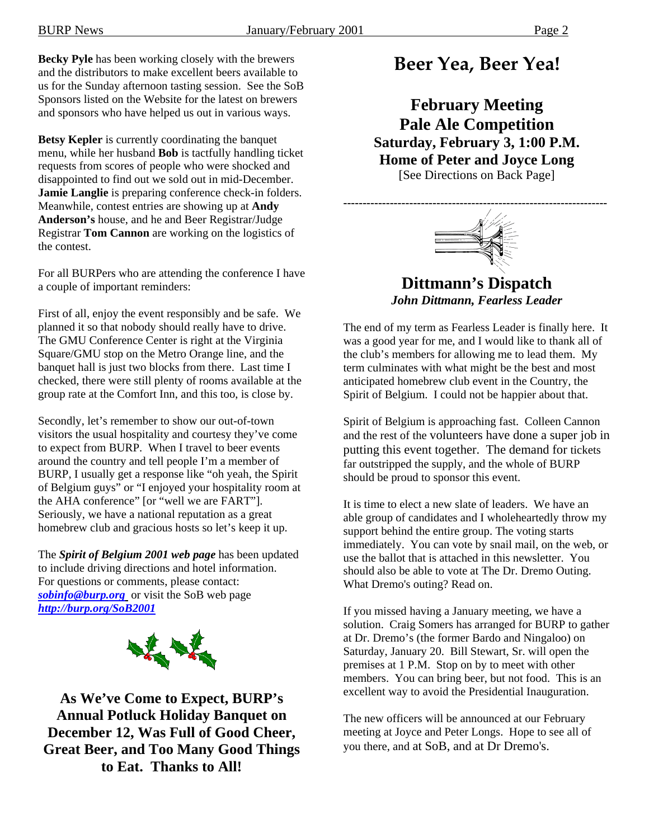**Becky Pyle** has been working closely with the brewers and the distributors to make excellent beers available to us for the Sunday afternoon tasting session. See the SoB Sponsors listed on the Website for the latest on brewers and sponsors who have helped us out in various ways.

**Betsy Kepler** is currently coordinating the banquet menu, while her husband **Bob** is tactfully handling ticket requests from scores of people who were shocked and disappointed to find out we sold out in mid-December. **Jamie Langlie** is preparing conference check-in folders. Meanwhile, contest entries are showing up at **Andy Anderson's** house, and he and Beer Registrar/Judge Registrar **Tom Cannon** are working on the logistics of the contest.

For all BURPers who are attending the conference I have a couple of important reminders:

First of all, enjoy the event responsibly and be safe. We planned it so that nobody should really have to drive. The GMU Conference Center is right at the Virginia Square/GMU stop on the Metro Orange line, and the banquet hall is just two blocks from there. Last time I checked, there were still plenty of rooms available at the group rate at the Comfort Inn, and this too, is close by.

Secondly, let's remember to show our out-of-town visitors the usual hospitality and courtesy they've come to expect from BURP. When I travel to beer events around the country and tell people I'm a member of BURP, I usually get a response like "oh yeah, the Spirit of Belgium guys" or "I enjoyed your hospitality room at the AHA conference" [or "well we are FART"]. Seriously, we have a national reputation as a great homebrew club and gracious hosts so let's keep it up.

The *Spirit of Belgium 2001 web page* has been updated to include driving directions and hotel information. For questions or comments, please contact: *sobinfo@burp.org* or visit the SoB web page *http://burp.org/SoB2001*



**As We've Come to Expect, BURP's Annual Potluck Holiday Banquet on December 12, Was Full of Good Cheer, Great Beer, and Too Many Good Things to Eat. Thanks to All!** 

# **Beer Yea, Beer Yea!**

**February Meeting Pale Ale Competition Saturday, February 3, 1:00 P.M. Home of Peter and Joyce Long**  [See Directions on Back Page]



**Dittmann's Dispatch**  *John Dittmann, Fearless Leader* 

The end of my term as Fearless Leader is finally here. It was a good year for me, and I would like to thank all of the club's members for allowing me to lead them. My term culminates with what might be the best and most anticipated homebrew club event in the Country, the Spirit of Belgium. I could not be happier about that.

Spirit of Belgium is approaching fast. Colleen Cannon and the rest of the volunteers have done a super job in putting this event together. The demand for tickets far outstripped the supply, and the whole of BURP should be proud to sponsor this event.

It is time to elect a new slate of leaders. We have an able group of candidates and I wholeheartedly throw my support behind the entire group. The voting starts immediately. You can vote by snail mail, on the web, or use the ballot that is attached in this newsletter. You should also be able to vote at The Dr. Dremo Outing. What Dremo's outing? Read on.

If you missed having a January meeting, we have a solution. Craig Somers has arranged for BURP to gather at Dr. Dremo's (the former Bardo and Ningaloo) on Saturday, January 20. Bill Stewart, Sr. will open the premises at 1 P.M. Stop on by to meet with other members. You can bring beer, but not food. This is an excellent way to avoid the Presidential Inauguration.

The new officers will be announced at our February meeting at Joyce and Peter Longs. Hope to see all of you there, and at SoB, and at Dr Dremo's.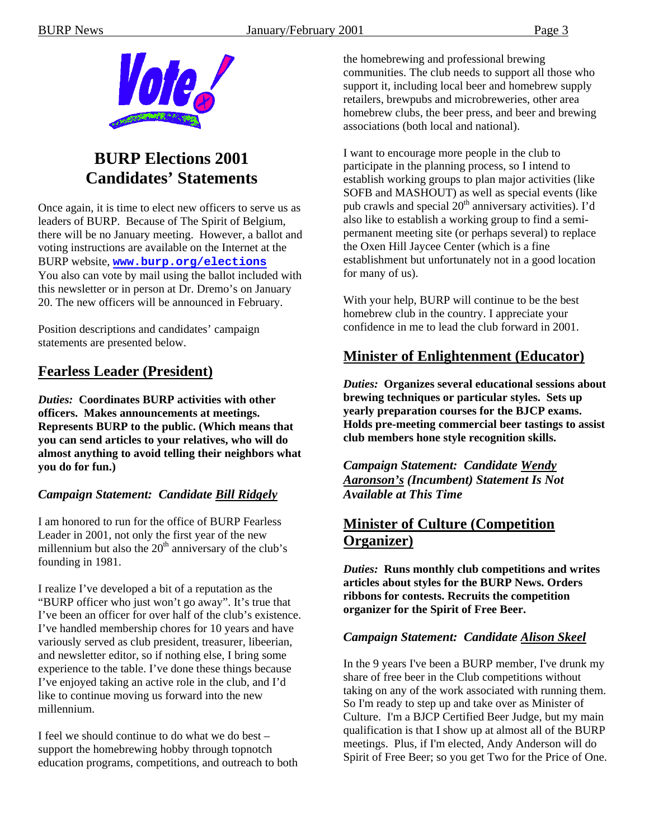

# **BURP Elections 2001 Candidates' Statements**

Once again, it is time to elect new officers to serve us as leaders of BURP. Because of The Spirit of Belgium, there will be no January meeting. However, a ballot and voting instructions are available on the Internet at the BURP website, **www.burp.org/elections** You also can vote by mail using the ballot included with this newsletter or in person at Dr. Dremo's on January 20. The new officers will be announced in February.

Position descriptions and candidates' campaign statements are presented below.

## **Fearless Leader (President)**

*Duties:* **Coordinates BURP activities with other officers. Makes announcements at meetings. Represents BURP to the public. (Which means that you can send articles to your relatives, who will do almost anything to avoid telling their neighbors what you do for fun.)** 

#### *Campaign Statement: Candidate Bill Ridgely*

I am honored to run for the office of BURP Fearless Leader in 2001, not only the first year of the new millennium but also the  $20<sup>th</sup>$  anniversary of the club's founding in 1981.

I realize I've developed a bit of a reputation as the "BURP officer who just won't go away". It's true that I've been an officer for over half of the club's existence. I've handled membership chores for 10 years and have variously served as club president, treasurer, libeerian, and newsletter editor, so if nothing else, I bring some experience to the table. I've done these things because I've enjoyed taking an active role in the club, and I'd like to continue moving us forward into the new millennium.

I feel we should continue to do what we do best – support the homebrewing hobby through topnotch education programs, competitions, and outreach to both the homebrewing and professional brewing communities. The club needs to support all those who support it, including local beer and homebrew supply retailers, brewpubs and microbreweries, other area homebrew clubs, the beer press, and beer and brewing associations (both local and national).

I want to encourage more people in the club to participate in the planning process, so I intend to establish working groups to plan major activities (like SOFB and MASHOUT) as well as special events (like pub crawls and special  $20<sup>th</sup>$  anniversary activities). I'd also like to establish a working group to find a semipermanent meeting site (or perhaps several) to replace the Oxen Hill Jaycee Center (which is a fine establishment but unfortunately not in a good location for many of us).

With your help, BURP will continue to be the best homebrew club in the country. I appreciate your confidence in me to lead the club forward in 2001.

#### **Minister of Enlightenment (Educator)**

*Duties:* **Organizes several educational sessions about brewing techniques or particular styles. Sets up yearly preparation courses for the BJCP exams. Holds pre-meeting commercial beer tastings to assist club members hone style recognition skills.** 

*Campaign Statement: Candidate Wendy Aaronson's (Incumbent) Statement Is Not Available at This Time* 

## **Minister of Culture (Competition Organizer)**

*Duties:* **Runs monthly club competitions and writes articles about styles for the BURP News. Orders ribbons for contests. Recruits the competition organizer for the Spirit of Free Beer.** 

#### *Campaign Statement: Candidate Alison Skeel*

In the 9 years I've been a BURP member, I've drunk my share of free beer in the Club competitions without taking on any of the work associated with running them. So I'm ready to step up and take over as Minister of Culture. I'm a BJCP Certified Beer Judge, but my main qualification is that I show up at almost all of the BURP meetings. Plus, if I'm elected, Andy Anderson will do Spirit of Free Beer; so you get Two for the Price of One.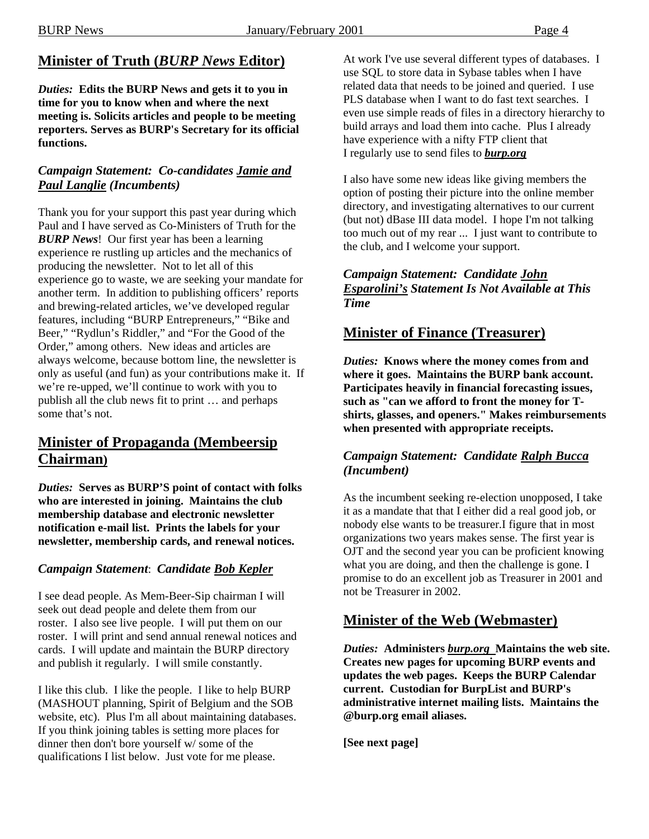# **Minister of Truth (***BURP News* **Editor)**

*Duties:* **Edits the BURP News and gets it to you in time for you to know when and where the next meeting is. Solicits articles and people to be meeting reporters. Serves as BURP's Secretary for its official functions.** 

#### *Campaign Statement: Co-candidates Jamie and Paul Langlie (Incumbents)*

Thank you for your support this past year during which Paul and I have served as Co-Ministers of Truth for the *BURP News*! Our first year has been a learning experience re rustling up articles and the mechanics of producing the newsletter. Not to let all of this experience go to waste, we are seeking your mandate for another term. In addition to publishing officers' reports and brewing-related articles, we've developed regular features, including "BURP Entrepreneurs," "Bike and Beer," "Rydlun's Riddler," and "For the Good of the Order," among others. New ideas and articles are always welcome, because bottom line, the newsletter is only as useful (and fun) as your contributions make it. If we're re-upped, we'll continue to work with you to publish all the club news fit to print … and perhaps some that's not.

## **Minister of Propaganda (Membeersip Chairman)**

*Duties:* **Serves as BURP'S point of contact with folks who are interested in joining. Maintains the club membership database and electronic newsletter notification e-mail list. Prints the labels for your newsletter, membership cards, and renewal notices.** 

## *Campaign Statement*: *Candidate Bob Kepler*

I see dead people. As Mem-Beer-Sip chairman I will seek out dead people and delete them from our roster. I also see live people. I will put them on our roster. I will print and send annual renewal notices and cards. I will update and maintain the BURP directory and publish it regularly. I will smile constantly.

I like this club. I like the people. I like to help BURP (MASHOUT planning, Spirit of Belgium and the SOB website, etc). Plus I'm all about maintaining databases. If you think joining tables is setting more places for dinner then don't bore yourself w/ some of the qualifications I list below. Just vote for me please.

At work I've use several different types of databases. I use SQL to store data in Sybase tables when I have related data that needs to be joined and queried. I use PLS database when I want to do fast text searches. I even use simple reads of files in a directory hierarchy to build arrays and load them into cache. Plus I already have experience with a nifty FTP client that I regularly use to send files to *burp.org*

I also have some new ideas like giving members the option of posting their picture into the online member directory, and investigating alternatives to our current (but not) dBase III data model. I hope I'm not talking too much out of my rear ... I just want to contribute to the club, and I welcome your support.

#### *Campaign Statement: Candidate John Esparolini's Statement Is Not Available at This Time*

# **Minister of Finance (Treasurer)**

*Duties:* **Knows where the money comes from and where it goes. Maintains the BURP bank account. Participates heavily in financial forecasting issues, such as "can we afford to front the money for Tshirts, glasses, and openers." Makes reimbursements when presented with appropriate receipts.** 

#### *Campaign Statement: Candidate Ralph Bucca (Incumbent)*

As the incumbent seeking re-election unopposed, I take it as a mandate that that I either did a real good job, or nobody else wants to be treasurer.I figure that in most organizations two years makes sense. The first year is OJT and the second year you can be proficient knowing what you are doing, and then the challenge is gone. I promise to do an excellent job as Treasurer in 2001 and not be Treasurer in 2002.

## **Minister of the Web (Webmaster)**

*Duties:* **Administers** *burp.org* **Maintains the web site. Creates new pages for upcoming BURP events and updates the web pages. Keeps the BURP Calendar current. Custodian for BurpList and BURP's administrative internet mailing lists. Maintains the @burp.org email aliases.** 

**[See next page]**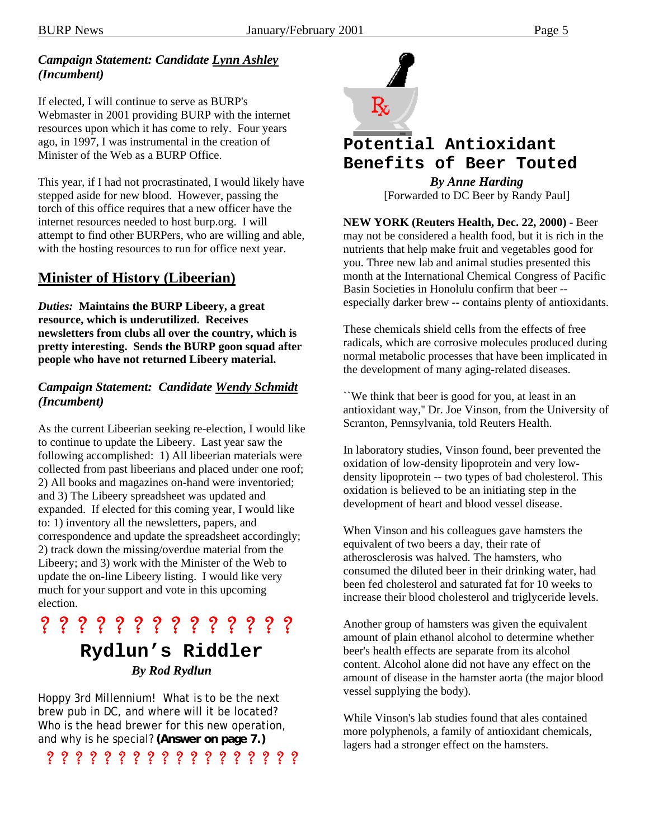#### *Campaign Statement: Candidate Lynn Ashley (Incumbent)*

If elected, I will continue to serve as BURP's Webmaster in 2001 providing BURP with the internet resources upon which it has come to rely. Four years ago, in 1997, I was instrumental in the creation of Minister of the Web as a BURP Office.

This year, if I had not procrastinated, I would likely have stepped aside for new blood. However, passing the torch of this office requires that a new officer have the internet resources needed to host burp.org. I will attempt to find other BURPers, who are willing and able, with the hosting resources to run for office next year.

#### **Minister of History (Libeerian)**

*Duties:* **Maintains the BURP Libeery, a great resource, which is underutilized. Receives newsletters from clubs all over the country, which is pretty interesting. Sends the BURP goon squad after people who have not returned Libeery material.** 

#### *Campaign Statement: Candidate Wendy Schmidt (Incumbent)*

As the current Libeerian seeking re-election, I would like to continue to update the Libeery. Last year saw the following accomplished: 1) All libeerian materials were collected from past libeerians and placed under one roof; 2) All books and magazines on-hand were inventoried; and 3) The Libeery spreadsheet was updated and expanded. If elected for this coming year, I would like to: 1) inventory all the newsletters, papers, and correspondence and update the spreadsheet accordingly; 2) track down the missing/overdue material from the Libeery; and 3) work with the Minister of the Web to update the on-line Libeery listing. I would like very much for your support and vote in this upcoming election.

? ? ? ? ? ? ? ? ? ? ? ? ? ?

# **Rydlun's Riddler**  *By Rod Rydlun*

Hoppy 3rd Millennium! What is to be the next brew pub in DC, and where will it be located? Who is the head brewer for this new operation, and why is he special? **(Answer on page 7.)** 

? ? ? ? ? ? ? ? ? ? ? ? ? ? ? ? ? ?



# **Potential Antioxidant**

**Benefits of Beer Touted** 

*By Anne Harding*  [Forwarded to DC Beer by Randy Paul]

**NEW YORK (Reuters Health, Dec. 22, 2000)** - Beer may not be considered a health food, but it is rich in the nutrients that help make fruit and vegetables good for you. Three new lab and animal studies presented this month at the International Chemical Congress of Pacific Basin Societies in Honolulu confirm that beer - especially darker brew -- contains plenty of antioxidants.

These chemicals shield cells from the effects of free radicals, which are corrosive molecules produced during normal metabolic processes that have been implicated in the development of many aging-related diseases.

``We think that beer is good for you, at least in an antioxidant way,'' Dr. Joe Vinson, from the University of Scranton, Pennsylvania, told Reuters Health.

In laboratory studies, Vinson found, beer prevented the oxidation of low-density lipoprotein and very lowdensity lipoprotein -- two types of bad cholesterol. This oxidation is believed to be an initiating step in the development of heart and blood vessel disease.

When Vinson and his colleagues gave hamsters the equivalent of two beers a day, their rate of atherosclerosis was halved. The hamsters, who consumed the diluted beer in their drinking water, had been fed cholesterol and saturated fat for 10 weeks to increase their blood cholesterol and triglyceride levels.

Another group of hamsters was given the equivalent amount of plain ethanol alcohol to determine whether beer's health effects are separate from its alcohol content. Alcohol alone did not have any effect on the amount of disease in the hamster aorta (the major blood vessel supplying the body).

While Vinson's lab studies found that ales contained more polyphenols, a family of antioxidant chemicals, lagers had a stronger effect on the hamsters.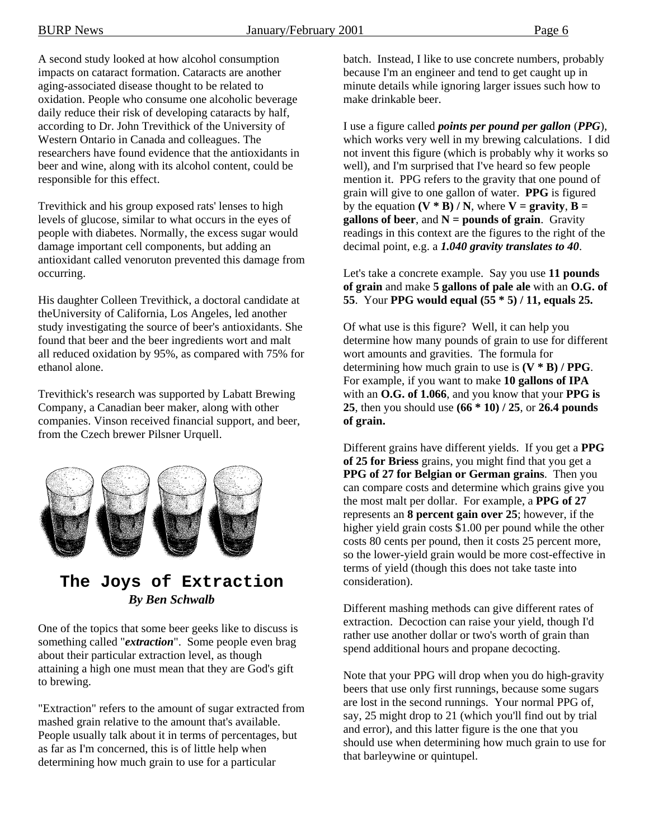A second study looked at how alcohol consumption impacts on cataract formation. Cataracts are another aging-associated disease thought to be related to oxidation. People who consume one alcoholic beverage daily reduce their risk of developing cataracts by half, according to Dr. John Trevithick of the University of Western Ontario in Canada and colleagues. The researchers have found evidence that the antioxidants in beer and wine, along with its alcohol content, could be responsible for this effect.

Trevithick and his group exposed rats' lenses to high levels of glucose, similar to what occurs in the eyes of people with diabetes. Normally, the excess sugar would damage important cell components, but adding an antioxidant called venoruton prevented this damage from occurring.

His daughter Colleen Trevithick, a doctoral candidate at theUniversity of California, Los Angeles, led another study investigating the source of beer's antioxidants. She found that beer and the beer ingredients wort and malt all reduced oxidation by 95%, as compared with 75% for ethanol alone.

Trevithick's research was supported by Labatt Brewing Company, a Canadian beer maker, along with other companies. Vinson received financial support, and beer, from the Czech brewer Pilsner Urquell.



## **The Joys of Extraction**  *By Ben Schwalb*

One of the topics that some beer geeks like to discuss is something called "*extraction*". Some people even brag about their particular extraction level, as though attaining a high one must mean that they are God's gift to brewing.

"Extraction" refers to the amount of sugar extracted from mashed grain relative to the amount that's available. People usually talk about it in terms of percentages, but as far as I'm concerned, this is of little help when determining how much grain to use for a particular

batch. Instead, I like to use concrete numbers, probably because I'm an engineer and tend to get caught up in minute details while ignoring larger issues such how to make drinkable beer.

I use a figure called *points per pound per gallon* (*PPG*), which works very well in my brewing calculations. I did not invent this figure (which is probably why it works so well), and I'm surprised that I've heard so few people mention it. PPG refers to the gravity that one pound of grain will give to one gallon of water. **PPG** is figured by the equation  $(V * B) / N$ , where  $V =$  **gravity**,  $B =$ **gallons of beer**, and **N = pounds of grain**. Gravity readings in this context are the figures to the right of the decimal point, e.g. a *1.040 gravity translates to 40*.

Let's take a concrete example. Say you use **11 pounds of grain** and make **5 gallons of pale ale** with an **O.G. of 55**. Your **PPG would equal (55 \* 5) / 11, equals 25.** 

Of what use is this figure? Well, it can help you determine how many pounds of grain to use for different wort amounts and gravities. The formula for determining how much grain to use is **(V \* B) / PPG**. For example, if you want to make **10 gallons of IPA** with an **O.G. of 1.066**, and you know that your **PPG is 25**, then you should use **(66 \* 10) / 25**, or **26.4 pounds of grain.** 

Different grains have different yields. If you get a **PPG of 25 for Briess** grains, you might find that you get a **PPG of 27 for Belgian or German grains**. Then you can compare costs and determine which grains give you the most malt per dollar. For example, a **PPG of 27** represents an **8 percent gain over 25**; however, if the higher yield grain costs \$1.00 per pound while the other costs 80 cents per pound, then it costs 25 percent more, so the lower-yield grain would be more cost-effective in terms of yield (though this does not take taste into consideration).

Different mashing methods can give different rates of extraction. Decoction can raise your yield, though I'd rather use another dollar or two's worth of grain than spend additional hours and propane decocting.

Note that your PPG will drop when you do high-gravity beers that use only first runnings, because some sugars are lost in the second runnings. Your normal PPG of, say, 25 might drop to 21 (which you'll find out by trial and error), and this latter figure is the one that you should use when determining how much grain to use for that barleywine or quintupel.